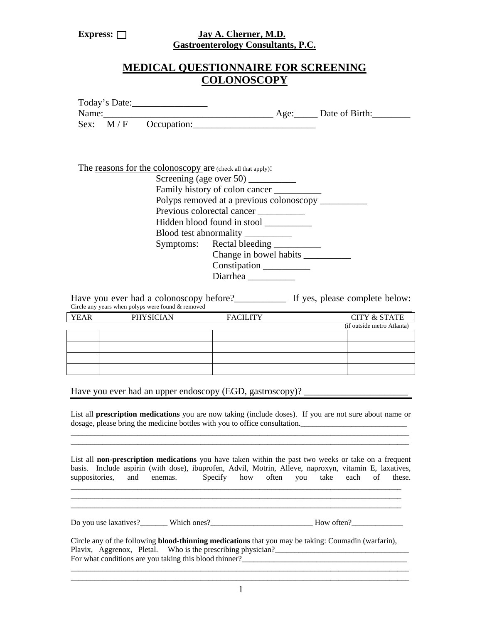### Express: <u>Jay A. Cherner, M.D.</u> **Gastroenterology Consultants, P.C.**

# **MEDICAL QUESTIONNAIRE FOR SCREENING COLONOSCOPY**

|                                                             |  | Today's Date:                                     |  |  |  |  |
|-------------------------------------------------------------|--|---------------------------------------------------|--|--|--|--|
| Name:                                                       |  | Age: Date of Birth:                               |  |  |  |  |
| Sex: $M/F$                                                  |  | Occupation:                                       |  |  |  |  |
|                                                             |  |                                                   |  |  |  |  |
|                                                             |  |                                                   |  |  |  |  |
|                                                             |  |                                                   |  |  |  |  |
| The reasons for the colonoscopy are (check all that apply): |  |                                                   |  |  |  |  |
|                                                             |  | Screening (age over 50)                           |  |  |  |  |
|                                                             |  | Family history of colon cancer                    |  |  |  |  |
|                                                             |  | Polyps removed at a previous colonoscopy ________ |  |  |  |  |
|                                                             |  | Previous colorectal cancer                        |  |  |  |  |
|                                                             |  | Hidden blood found in stool _________             |  |  |  |  |
|                                                             |  | Blood test abnormality                            |  |  |  |  |

Symptoms: Rectal bleeding \_\_\_\_\_\_\_\_\_\_ Change in bowel habits \_\_\_\_\_\_\_\_\_\_ Constipation \_\_\_\_\_\_\_\_\_\_ Diarrhea \_\_\_\_\_\_\_\_\_\_

Have you ever had a colonoscopy before?<br>If yes, please complete below: Circle any years when polyps were found & removed

| <b>YEAR</b> | <b>PHYSICIAN</b> | <b>FACILITY</b> | <b>CITY &amp; STATE</b>    |
|-------------|------------------|-----------------|----------------------------|
|             |                  |                 | (if outside metro Atlanta) |
|             |                  |                 |                            |
|             |                  |                 |                            |
|             |                  |                 |                            |
|             |                  |                 |                            |

Have you ever had an upper endoscopy (EGD, gastroscopy)? \_\_\_\_\_\_\_\_\_\_\_\_\_\_\_\_\_\_\_\_\_\_\_

List all **prescription medications** you are now taking (include doses). If you are not sure about name or dosage, please bring the medicine bottles with you to office consultation. \_\_\_\_\_\_\_\_\_\_\_\_\_\_\_\_\_\_\_\_\_\_\_\_\_\_\_\_\_\_\_\_\_\_\_\_\_\_\_\_\_\_\_\_\_\_\_\_\_\_\_\_\_\_\_\_\_\_\_\_\_\_\_\_\_\_\_\_\_\_\_\_\_\_\_\_\_\_\_\_\_\_\_\_\_\_

List all **non-prescription medications** you have taken within the past two weeks or take on a frequent basis. Include aspirin (with dose), ibuprofen, Advil, Motrin, Alleve, naproxyn, vitamin E, laxatives, suppositories, and enemas. Specify how often you take each of these.

\_\_\_\_\_\_\_\_\_\_\_\_\_\_\_\_\_\_\_\_\_\_\_\_\_\_\_\_\_\_\_\_\_\_\_\_\_\_\_\_\_\_\_\_\_\_\_\_\_\_\_\_\_\_\_\_\_\_\_\_\_\_\_\_\_\_\_\_\_\_\_\_\_\_\_\_\_\_\_\_\_\_\_\_

Do you use laxatives? Which ones? How often?

Circle any of the following **blood-thinning medications** that you may be taking: Coumadin (warfarin), Plavix, Aggrenox, Pletal. Who is the prescribing physician? For what conditions are you taking this blood thinner?

 $\_$  , and the set of the set of the set of the set of the set of the set of the set of the set of the set of the set of the set of the set of the set of the set of the set of the set of the set of the set of the set of th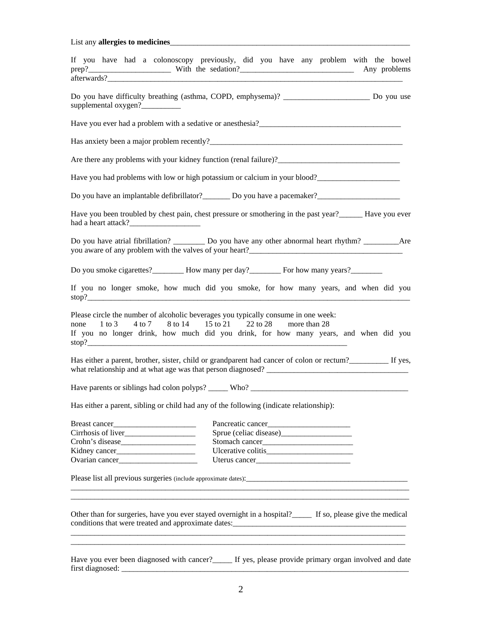List any **allergies to medicines**\_\_\_\_\_\_\_\_\_\_\_\_\_\_\_\_\_\_\_\_\_\_\_\_\_\_\_\_\_\_\_\_\_\_\_\_\_\_\_\_\_\_\_\_\_\_\_\_\_\_\_\_\_\_\_\_\_\_\_\_\_

| afterwards?                                                                                                                                     | If you have had a colonoscopy previously, did you have any problem with the bowel<br>Any problems                                                                    |
|-------------------------------------------------------------------------------------------------------------------------------------------------|----------------------------------------------------------------------------------------------------------------------------------------------------------------------|
|                                                                                                                                                 | Do you have difficulty breathing (asthma, COPD, emphysema)? __________________________ Do you use                                                                    |
| supplemental oxygen?                                                                                                                            |                                                                                                                                                                      |
|                                                                                                                                                 |                                                                                                                                                                      |
|                                                                                                                                                 | Has anxiety been a major problem recently?                                                                                                                           |
|                                                                                                                                                 |                                                                                                                                                                      |
|                                                                                                                                                 | Have you had problems with low or high potassium or calcium in your blood?                                                                                           |
|                                                                                                                                                 | Do you have an implantable defibrillator? Do you have a pacemaker?                                                                                                   |
| had a heart attack?                                                                                                                             | Have you been troubled by chest pain, chest pressure or smothering in the past year?<br>Have you ever                                                                |
|                                                                                                                                                 | Do you have atrial fibrillation? _____________ Do you have any other abnormal heart rhythm? _______________Are                                                       |
|                                                                                                                                                 | Do you smoke cigarettes? How many per day? For how many years?                                                                                                       |
| stop?                                                                                                                                           | If you no longer smoke, how much did you smoke, for how many years, and when did you                                                                                 |
| Please circle the number of alcoholic beverages you typically consume in one week:<br>none 1 to 3 4 to 7 8 to 14 15 to 21 22 to 28 more than 28 | If you no longer drink, how much did you drink, for how many years, and when did you                                                                                 |
|                                                                                                                                                 | Has either a parent, brother, sister, child or grandparent had cancer of colon or rectum?<br>If yes,<br>what relationship and at what age was that person diagnosed? |
|                                                                                                                                                 |                                                                                                                                                                      |
| Has either a parent, sibling or child had any of the following (indicate relationship):                                                         |                                                                                                                                                                      |
| Breast cancer                                                                                                                                   |                                                                                                                                                                      |
|                                                                                                                                                 |                                                                                                                                                                      |
|                                                                                                                                                 |                                                                                                                                                                      |
|                                                                                                                                                 |                                                                                                                                                                      |
|                                                                                                                                                 | Uterus cancer                                                                                                                                                        |
|                                                                                                                                                 |                                                                                                                                                                      |
|                                                                                                                                                 | Other than for surgeries, have you ever stayed overnight in a hospital?<br>If so, please give the medical                                                            |
|                                                                                                                                                 | Have you ever been diagnosed with cancer?<br>If yes, please provide primary organ involved and date                                                                  |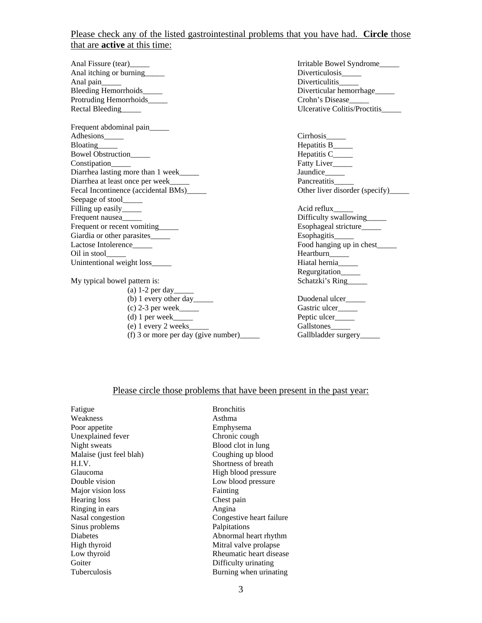## Please check any of the listed gastrointestinal problems that you have had. **Circle** those that are **active** at this time:

Anal itching or burning\_\_\_\_\_\_ Anal pain\_\_\_\_\_ Diverticulitis\_\_\_\_\_ Protruding Hemorrhoids\_\_\_\_\_ Crohn's Disease\_\_\_\_\_

Frequent abdominal pain\_\_\_\_\_ Adhesions\_\_\_\_\_\_ Cirrhosis\_\_\_\_\_ Bloating\_\_\_\_\_ Hepatitis B\_\_\_\_\_ Bowel Obstruction\_\_\_\_\_\_ hepatitis C\_\_\_\_\_ Constipation\_\_\_\_\_ Fatty Liver\_\_\_\_\_ Diarrhea lasting more than  $1$  week\_\_\_\_\_\_ Diarrhea at least once per week\_\_\_\_\_ Pancreatitis\_\_\_\_\_ Fecal Incontinence (accidental BMs)\_\_\_\_\_ Seepage of stool Filling up easily\_\_\_\_\_\_ https://www.acid.com/solid reflux\_\_\_\_\_\_\_\_ Acid reflux\_\_\_\_\_ Frequent nausea\_\_\_\_\_ Difficulty swallowing\_\_\_\_\_ Frequent or recent vomiting\_\_\_\_\_ Giardia or other parasites\_\_\_\_\_ Esophagitis\_\_\_\_\_ Oil in stool\_\_\_\_\_ Heartburn\_\_\_\_\_ Unintentional weight loss\_\_\_\_\_

My typical bowel pattern is: Schatzki's Ring

- (a) 1-2 per day\_\_\_\_\_
- (b) 1 every other day \_\_\_\_\_\_ Duodenal ulcer\_\_\_\_\_
- 
- 
- (e) 1 every 2 weeks\_\_\_\_\_ Gallstones\_\_\_\_\_
	- (f) 3 or more per day (give number)\_\_\_\_\_ Gallbladder surgery\_\_\_\_\_

Anal Fissure (tear)\_\_\_\_\_ Irritable Bowel Syndrome\_\_\_\_\_ Diverticular hemorrhage\_\_\_\_\_ Ulcerative Colitis/Proctitis

Food hanging up in chest Regurgitation\_\_\_\_\_

(c) 2-3 per week $\qquad$  Gastric ulcer $\qquad$  Gastric ulcer $\qquad$  Peptic ulcer (d) 1 per week $\qquad \qquad$  Peptic ulcer

#### Please circle those problems that have been present in the past year:

| Fatigue                  | <b>Bronchitis</b>        |
|--------------------------|--------------------------|
| Weakness                 | Asthma                   |
|                          |                          |
| Poor appetite            | Emphysema                |
| Unexplained fever        | Chronic cough            |
| Night sweats             | Blood clot in lung       |
| Malaise (just feel blah) | Coughing up blood        |
| H.I.V.                   | Shortness of breath      |
| Glaucoma                 | High blood pressure      |
| Double vision            | Low blood pressure       |
| Major vision loss        | Fainting                 |
| Hearing loss             | Chest pain               |
| Ringing in ears          | Angina                   |
| Nasal congestion         | Congestive heart failure |
| Sinus problems           | Palpitations             |
| Diabetes                 | Abnormal heart rhythm    |
| High thyroid             | Mitral valve prolapse    |
| Low thyroid              | Rheumatic heart disease  |
| Goiter                   | Difficulty urinating     |
| <b>Tuberculosis</b>      | Burning when urinating   |